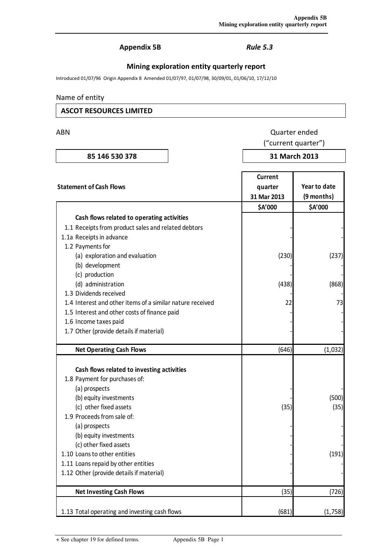## Appendix 5B Rule 5.3

## Mining exploration entity quarterly report

Introduced 01/07/96 Origin Appendix 8 Amended 01/07/97, 01/07/98, 30/09/01, 01/06/10, 17/12/10

## Name of entity

## ASCOT RESOURCES LIMITED

## ABN Quarter ended

("current quarter")

| 85 146 530 378 |  |
|----------------|--|
|                |  |

# 31 March 2013

| <b>Statement of Cash Flows</b>                            | Current<br>quarter<br>31 Mar 2013 | Year to date<br>(9 months) |
|-----------------------------------------------------------|-----------------------------------|----------------------------|
|                                                           | \$A'000                           | \$A'000                    |
| Cash flows related to operating activities                |                                   |                            |
| 1.1 Receipts from product sales and related debtors       |                                   |                            |
| 1.1a Receipts in advance                                  |                                   |                            |
| 1.2 Payments for                                          |                                   |                            |
| (a) exploration and evaluation                            | (230)                             | (237)                      |
| (b) development                                           |                                   |                            |
| (c) production                                            |                                   |                            |
| (d) administration                                        | (438)                             | (868)                      |
| 1.3 Dividends received                                    |                                   |                            |
| 1.4 Interest and other items of a similar nature received | 22                                | 73                         |
| 1.5 Interest and other costs of finance paid              |                                   |                            |
| 1.6 Income taxes paid                                     |                                   |                            |
| 1.7 Other (provide details if material)                   |                                   |                            |
|                                                           |                                   |                            |
| <b>Net Operating Cash Flows</b>                           | (646)                             | (1,032)                    |
|                                                           |                                   |                            |
| Cash flows related to investing activities                |                                   |                            |
| 1.8 Payment for purchases of:                             |                                   |                            |
| (a) prospects                                             |                                   |                            |
| (b) equity investments                                    |                                   | (500)                      |
| (c) other fixed assets                                    | (35)                              | (35)                       |
| 1.9 Proceeds from sale of:                                |                                   |                            |
| (a) prospects                                             |                                   |                            |
| (b) equity investments                                    |                                   |                            |
| (c) other fixed assets                                    |                                   |                            |
| 1.10 Loans to other entities                              |                                   | (191)                      |
| 1.11 Loans repaid by other entities                       |                                   |                            |
| 1.12 Other (provide details if material)                  |                                   |                            |
| <b>Net Investing Cash Flows</b>                           | (35)                              | (726)                      |
|                                                           |                                   |                            |
| 1.13 Total operating and investing cash flows             | (681)                             | (1,758)                    |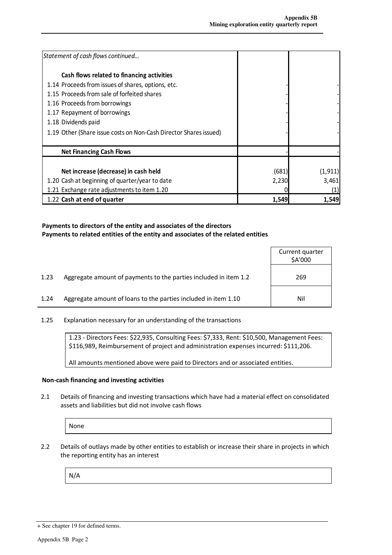| Statement of cash flows continued                                 |       |          |
|-------------------------------------------------------------------|-------|----------|
| Cash flows related to financing activities                        |       |          |
| 1.14 Proceeds from issues of shares, options, etc.                |       |          |
| 1.15 Proceeds from sale of forfeited shares                       |       |          |
| 1.16 Proceeds from borrowings                                     |       |          |
| 1.17 Repayment of borrowings                                      |       |          |
| 1.18 Dividends paid                                               |       |          |
| 1.19 Other (Share issue costs on Non-Cash Director Shares issued) |       |          |
| <b>Net Financing Cash Flows</b>                                   |       |          |
|                                                                   |       |          |
| Net increase (decrease) in cash held                              | (681) | (1, 911) |
| 1.20 Cash at beginning of quarter/year to date                    | 2,230 | 3,461    |
| 1.21 Exchange rate adjustments to item 1.20                       |       | (1)      |
| 1.22 Cash at end of quarter                                       | 1,549 | 1,549    |

## Payments to directors of the entity and associates of the directors Payments to related entities of the entity and associates of the related entities

|      |                                                                  | Current quarter<br>\$A'000 |
|------|------------------------------------------------------------------|----------------------------|
| 1.23 | Aggregate amount of payments to the parties included in item 1.2 | 269                        |
| 1.24 | Aggregate amount of loans to the parties included in item 1.10   | Nil                        |

1.25 Explanation necessary for an understanding of the transactions

1.23 - Directors Fees: \$22,935, Consulting Fees: \$7,333, Rent: \$10,500, Management Fees: \$116,989, Reimbursement of project and administration expenses incurred: \$111,206.

All amounts mentioned above were paid to Directors and or associated entities.

#### Non-cash financing and investing activities

2.1 Details of financing and investing transactions which have had a material effect on consolidated assets and liabilities but did not involve cash flows

None

2.2 Details of outlays made by other entities to establish or increase their share in projects in which the reporting entity has an interest

N/A

<sup>+</sup> See chapter 19 for defined terms.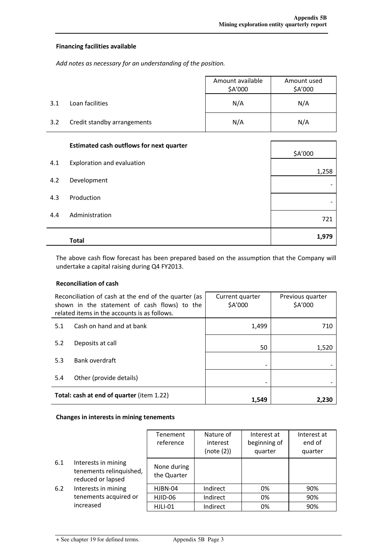### Financing facilities available

Add notes as necessary for an understanding of the position.

|     |                             | Amount available<br>\$A'000 | Amount used<br>\$A'000 |
|-----|-----------------------------|-----------------------------|------------------------|
| 3.1 | Loan facilities             | N/A                         | N/A                    |
| 3.2 | Credit standby arrangements | N/A                         | N/A                    |

|     | <b>Estimated cash outflows for next quarter</b> |         |
|-----|-------------------------------------------------|---------|
|     |                                                 | \$A'000 |
| 4.1 | Exploration and evaluation                      |         |
|     |                                                 | 1,258   |
| 4.2 | Development                                     |         |
|     |                                                 |         |
| 4.3 | Production                                      |         |
|     |                                                 |         |
| 4.4 | Administration                                  | 721     |
|     |                                                 |         |
|     | Total                                           | 1,979   |
|     |                                                 |         |

The above cash flow forecast has been prepared based on the assumption that the Company will undertake a capital raising during Q4 FY2013.

## Reconciliation of cash

| Reconciliation of cash at the end of the quarter (as<br>shown in the statement of cash flows) to the<br>related items in the accounts is as follows. |                          | Current quarter<br>\$A'000 | Previous quarter<br>\$A'000 |  |
|------------------------------------------------------------------------------------------------------------------------------------------------------|--------------------------|----------------------------|-----------------------------|--|
| 5.1                                                                                                                                                  | Cash on hand and at bank | 1,499                      | 710                         |  |
| 5.2                                                                                                                                                  | Deposits at call         | 50                         | 1,520                       |  |
| 5.3                                                                                                                                                  | Bank overdraft           |                            |                             |  |
| 5.4                                                                                                                                                  | Other (provide details)  |                            |                             |  |
| Total: cash at end of quarter (item 1.22)                                                                                                            |                          | 1,549                      | 2.230                       |  |

#### Changes in interests in mining tenements

|     |                                                                     | Tenement<br>reference      | Nature of<br>interest<br>(note (2)) | Interest at<br>beginning of<br>quarter | Interest at<br>end of<br>quarter |
|-----|---------------------------------------------------------------------|----------------------------|-------------------------------------|----------------------------------------|----------------------------------|
| 6.1 | Interests in mining<br>tenements relinquished,<br>reduced or lapsed | None during<br>the Quarter |                                     |                                        |                                  |
| 6.2 | Interests in mining                                                 | HJBN-04                    | Indirect                            | 0%                                     | 90%                              |
|     | tenements acquired or                                               | HJID-06                    | Indirect                            | 0%                                     | 90%                              |
|     | increased                                                           | HJLI-01                    | Indirect                            | 0%                                     | 90%                              |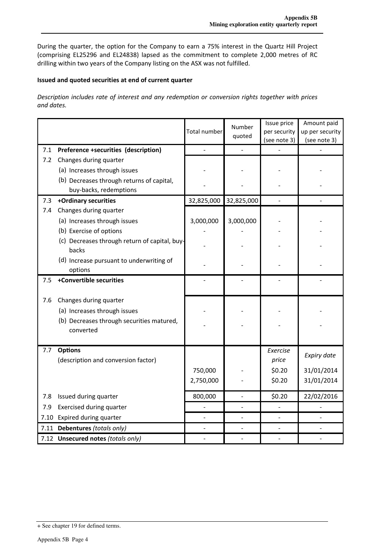During the quarter, the option for the Company to earn a 75% interest in the Quartz Hill Project (comprising EL25296 and EL24838) lapsed as the commitment to complete 2,000 metres of RC drilling within two years of the Company listing on the ASX was not fulfilled.

## Issued and quoted securities at end of current quarter

Description includes rate of interest and any redemption or conversion rights together with prices and dates.

|     |                                                                                                                  | Total number | Number<br>quoted | Issue price<br>per security<br>(see note 3) | Amount paid<br>up per security<br>(see note 3) |
|-----|------------------------------------------------------------------------------------------------------------------|--------------|------------------|---------------------------------------------|------------------------------------------------|
| 7.1 | Preference +securities (description)                                                                             |              |                  |                                             |                                                |
| 7.2 | Changes during quarter<br>(a) Increases through issues                                                           |              |                  |                                             |                                                |
|     | (b) Decreases through returns of capital,<br>buy-backs, redemptions                                              |              |                  |                                             |                                                |
| 7.3 | +Ordinary securities                                                                                             | 32,825,000   | 32,825,000       |                                             |                                                |
| 7.4 | Changes during quarter                                                                                           |              |                  |                                             |                                                |
|     | (a) Increases through issues                                                                                     | 3,000,000    | 3,000,000        |                                             |                                                |
|     | (b) Exercise of options                                                                                          |              |                  |                                             |                                                |
|     | (c) Decreases through return of capital, buy-<br>backs                                                           |              |                  |                                             |                                                |
|     | (d) Increase pursuant to underwriting of<br>options                                                              |              |                  |                                             |                                                |
| 7.5 | +Convertible securities                                                                                          |              |                  |                                             |                                                |
| 7.6 | Changes during quarter<br>(a) Increases through issues<br>(b) Decreases through securities matured,<br>converted |              |                  |                                             |                                                |
| 7.7 | <b>Options</b><br>(description and conversion factor)                                                            |              |                  | Exercise<br>price                           | Expiry date                                    |
|     |                                                                                                                  | 750,000      |                  | \$0.20                                      | 31/01/2014                                     |
|     |                                                                                                                  | 2,750,000    |                  | \$0.20                                      | 31/01/2014                                     |
| 7.8 | Issued during quarter                                                                                            | 800,000      |                  | \$0.20                                      | 22/02/2016                                     |
| 7.9 | Exercised during quarter                                                                                         |              |                  |                                             |                                                |
|     | 7.10 Expired during quarter                                                                                      |              |                  |                                             |                                                |
|     | 7.11 Debentures (totals only)                                                                                    |              |                  |                                             |                                                |
|     | 7.12 Unsecured notes (totals only)                                                                               |              |                  |                                             |                                                |

<sup>+</sup> See chapter 19 for defined terms.